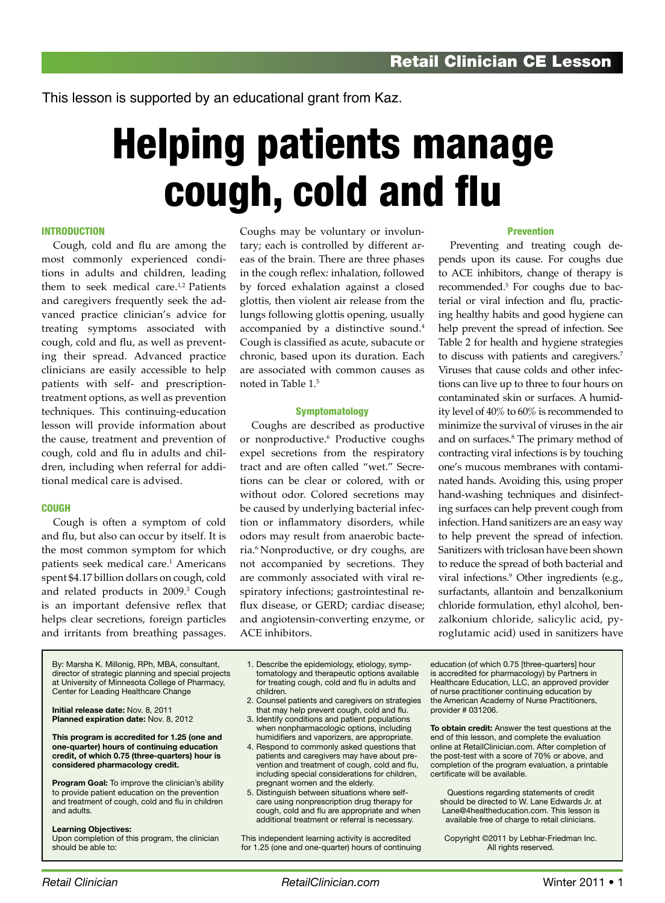This lesson is supported by an educational grant from Kaz.

# Helping patients manage cough, cold and flu

#### **INTRODUCTION**

Cough, cold and flu are among the most commonly experienced conditions in adults and children, leading them to seek medical care.<sup>1,2</sup> Patients and caregivers frequently seek the advanced practice clinician's advice for treating symptoms associated with cough, cold and flu, as well as preventing their spread. Advanced practice clinicians are easily accessible to help patients with self- and prescriptiontreatment options, as well as prevention techniques. This continuing-education lesson will provide information about the cause, treatment and prevention of cough, cold and flu in adults and children, including when referral for additional medical care is advised.

#### **COUGH**

Cough is often a symptom of cold and flu, but also can occur by itself. It is the most common symptom for which patients seek medical care.<sup>1</sup> Americans spent \$4.17 billion dollars on cough, cold and related products in 2009.3 Cough is an important defensive reflex that helps clear secretions, foreign particles and irritants from breathing passages.

By: Marsha K. Millonig, RPh, MBA, consultant, director of strategic planning and special projects at University of Minnesota College of Pharmacy, Center for Leading Healthcare Change

**Initial release date:** Nov. 8, 2011 **Planned expiration date:** Nov. 8, 2012

**This program is accredited for 1.25 (one and one-quarter) hours of continuing education credit, of which 0.75 (three-quarters) hour is considered pharmacology credit.**

**Program Goal:** To improve the clinician's ability to provide patient education on the prevention and treatment of cough, cold and flu in children and adults.

#### **Learning Objectives:**

Upon completion of this program, the clinician should be able to:

Coughs may be voluntary or involuntary; each is controlled by different areas of the brain. There are three phases in the cough reflex: inhalation, followed by forced exhalation against a closed glottis, then violent air release from the lungs following glottis opening, usually accompanied by a distinctive sound.<sup>4</sup> Cough is classified as acute, subacute or chronic, based upon its duration. Each are associated with common causes as noted in Table 1.5

#### **Symptomatology**

Coughs are described as productive or nonproductive.6 Productive coughs expel secretions from the respiratory tract and are often called "wet." Secretions can be clear or colored, with or without odor. Colored secretions may be caused by underlying bacterial infection or inflammatory disorders, while odors may result from anaerobic bacteria.6 Nonproductive, or dry coughs, are not accompanied by secretions. They are commonly associated with viral respiratory infections; gastrointestinal reflux disease, or GERD; cardiac disease; and angiotensin-converting enzyme, or ACE inhibitors.

#### Prevention

Preventing and treating cough depends upon its cause. For coughs due to ACE inhibitors, change of therapy is recommended.5 For coughs due to bacterial or viral infection and flu, practicing healthy habits and good hygiene can help prevent the spread of infection. See Table 2 for health and hygiene strategies to discuss with patients and caregivers.<sup>7</sup> Viruses that cause colds and other infections can live up to three to four hours on contaminated skin or surfaces. A humidity level of 40% to 60% is recommended to minimize the survival of viruses in the air and on surfaces.8 The primary method of contracting viral infections is by touching one's mucous membranes with contaminated hands. Avoiding this, using proper hand-washing techniques and disinfecting surfaces can help prevent cough from infection. Hand sanitizers are an easy way to help prevent the spread of infection. Sanitizers with triclosan have been shown to reduce the spread of both bacterial and viral infections.9 Other ingredients (e.g., surfactants, allantoin and benzalkonium chloride formulation, ethyl alcohol, benzalkonium chloride, salicylic acid, pyroglutamic acid) used in sanitizers have

1. Describe the epidemiology, etiology, symptomatology and therapeutic options available for treating cough, cold and flu in adults and children.

- 2. Counsel patients and caregivers on strategies that may help prevent cough, cold and flu.
- 3. Identify conditions and patient populations when nonpharmacologic options, including humidifiers and vaporizers, are appropriate.
- 4. Respond to commonly asked questions that patients and caregivers may have about prevention and treatment of cough, cold and flu, including special considerations for children, pregnant women and the elderly.
- 5. Distinguish between situations where selfcare using nonprescription drug therapy for cough, cold and flu are appropriate and when additional treatment or referral is necessary.

This independent learning activity is accredited for 1.25 (one and one-quarter) hours of continuing education (of which 0.75 [three-quarters] hour is accredited for pharmacology) by Partners in Healthcare Education, LLC, an approved provider of nurse practitioner continuing education by the American Academy of Nurse Practitioners, provider # 031206.

**To obtain credit:** Answer the test questions at the end of this lesson, and complete the evaluation online at RetailClinician.com. After completion of the post-test with a score of 70% or above, and completion of the program evaluation, a printable certificate will be available.

Questions regarding statements of credit should be directed to W. Lane Edwards Jr. at Lane@4healtheducation.com. This lesson is available free of charge to retail clinicians.

Copyright ©2011 by Lebhar-Friedman Inc. All rights reserved.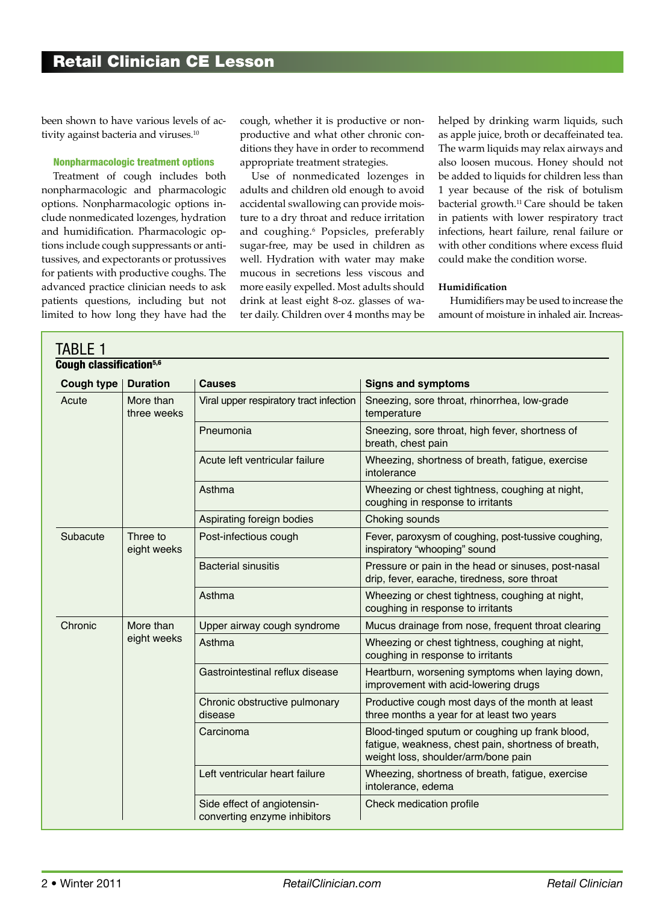been shown to have various levels of activity against bacteria and viruses.<sup>10</sup>

#### Nonpharmacologic treatment options

Treatment of cough includes both nonpharmacologic and pharmacologic options. Nonpharmacologic options include nonmedicated lozenges, hydration and humidification. Pharmacologic options include cough suppressants or antitussives, and expectorants or protussives for patients with productive coughs. The advanced practice clinician needs to ask patients questions, including but not limited to how long they have had the

cough, whether it is productive or nonproductive and what other chronic conditions they have in order to recommend appropriate treatment strategies.

Use of nonmedicated lozenges in adults and children old enough to avoid accidental swallowing can provide moisture to a dry throat and reduce irritation and coughing.6 Popsicles, preferably sugar-free, may be used in children as well. Hydration with water may make mucous in secretions less viscous and more easily expelled. Most adults should drink at least eight 8-oz. glasses of water daily. Children over 4 months may be

helped by drinking warm liquids, such as apple juice, broth or decaffeinated tea. The warm liquids may relax airways and also loosen mucous. Honey should not be added to liquids for children less than 1 year because of the risk of botulism bacterial growth.11 Care should be taken in patients with lower respiratory tract infections, heart failure, renal failure or with other conditions where excess fluid could make the condition worse.

#### **Humidification**

Humidifiers may be used to increase the amount of moisture in inhaled air. Increas-

| Cough classification <sup>5,6</sup><br>Cough type $ $ | <b>Duration</b>          | <b>Causes</b>                                               | <b>Signs and symptoms</b>                                                                                                                     |  |  |
|-------------------------------------------------------|--------------------------|-------------------------------------------------------------|-----------------------------------------------------------------------------------------------------------------------------------------------|--|--|
| Acute                                                 | More than<br>three weeks | Viral upper respiratory tract infection                     | Sneezing, sore throat, rhinorrhea, low-grade<br>temperature                                                                                   |  |  |
|                                                       |                          | Pneumonia                                                   | Sneezing, sore throat, high fever, shortness of<br>breath, chest pain                                                                         |  |  |
|                                                       |                          | Acute left ventricular failure                              | Wheezing, shortness of breath, fatigue, exercise<br>intolerance                                                                               |  |  |
|                                                       |                          | Asthma                                                      | Wheezing or chest tightness, coughing at night,<br>coughing in response to irritants                                                          |  |  |
|                                                       |                          | Aspirating foreign bodies                                   | Choking sounds                                                                                                                                |  |  |
| Subacute                                              | Three to<br>eight weeks  | Post-infectious cough                                       | Fever, paroxysm of coughing, post-tussive coughing,<br>inspiratory "whooping" sound                                                           |  |  |
|                                                       |                          | <b>Bacterial sinusitis</b>                                  | Pressure or pain in the head or sinuses, post-nasal<br>drip, fever, earache, tiredness, sore throat                                           |  |  |
|                                                       |                          | Asthma                                                      | Wheezing or chest tightness, coughing at night,<br>coughing in response to irritants                                                          |  |  |
| Chronic                                               | More than<br>eight weeks | Upper airway cough syndrome                                 | Mucus drainage from nose, frequent throat clearing                                                                                            |  |  |
|                                                       |                          | Asthma                                                      | Wheezing or chest tightness, coughing at night,<br>coughing in response to irritants                                                          |  |  |
|                                                       |                          | Gastrointestinal reflux disease                             | Heartburn, worsening symptoms when laying down,<br>improvement with acid-lowering drugs                                                       |  |  |
|                                                       |                          | Chronic obstructive pulmonary<br>disease                    | Productive cough most days of the month at least<br>three months a year for at least two years                                                |  |  |
|                                                       |                          | Carcinoma                                                   | Blood-tinged sputum or coughing up frank blood,<br>fatigue, weakness, chest pain, shortness of breath,<br>weight loss, shoulder/arm/bone pain |  |  |
|                                                       |                          | Left ventricular heart failure                              | Wheezing, shortness of breath, fatigue, exercise<br>intolerance, edema                                                                        |  |  |
|                                                       |                          | Side effect of angiotensin-<br>converting enzyme inhibitors | Check medication profile                                                                                                                      |  |  |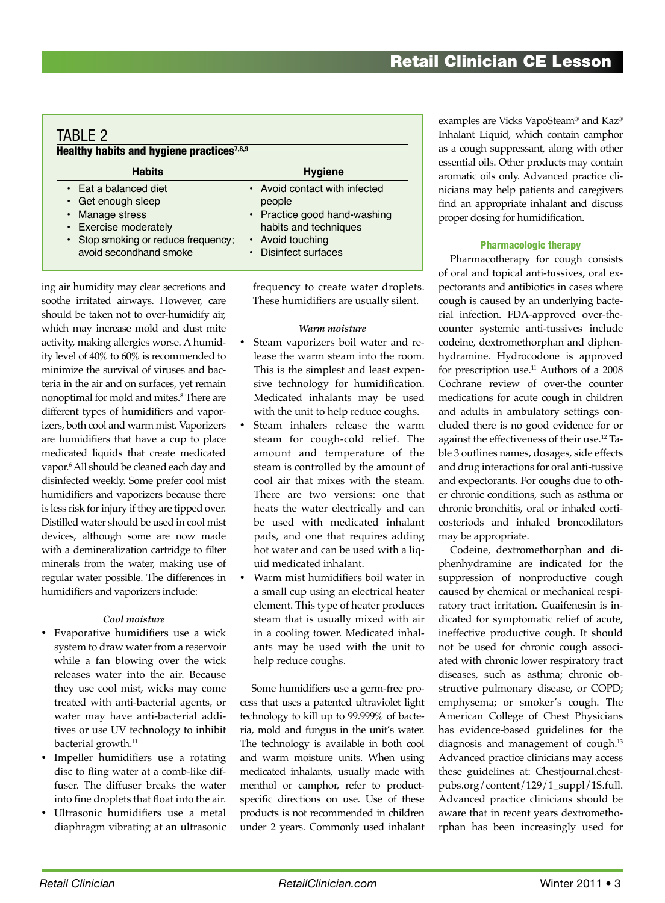| TABI F 2<br>Healthy habits and hygiene practices <sup>7,8,9</sup>                                                                                                                          |                                                                                                                                                   |  |  |  |  |  |
|--------------------------------------------------------------------------------------------------------------------------------------------------------------------------------------------|---------------------------------------------------------------------------------------------------------------------------------------------------|--|--|--|--|--|
| <b>Habits</b>                                                                                                                                                                              | <b>Hygiene</b>                                                                                                                                    |  |  |  |  |  |
| $\cdot$ Eat a balanced diet<br>$\cdot$ Get enough sleep<br>Manage stress<br>$\bullet$<br>Exercise moderately<br>$\bullet$<br>• Stop smoking or reduce frequency;<br>avoid secondhand smoke | • Avoid contact with infected<br>people<br>• Practice good hand-washing<br>habits and techniques<br>• Avoid touching<br><b>Disinfect surfaces</b> |  |  |  |  |  |

ing air humidity may clear secretions and soothe irritated airways. However, care should be taken not to over-humidify air, which may increase mold and dust mite activity, making allergies worse. A humidity level of 40% to 60% is recommended to minimize the survival of viruses and bacteria in the air and on surfaces, yet remain nonoptimal for mold and mites.8 There are different types of humidifiers and vaporizers, both cool and warm mist. Vaporizers are humidifiers that have a cup to place medicated liquids that create medicated vapor.6 All should be cleaned each day and disinfected weekly. Some prefer cool mist humidifiers and vaporizers because there is less risk for injury if they are tipped over. Distilled water should be used in cool mist devices, although some are now made with a demineralization cartridge to filter minerals from the water, making use of regular water possible. The differences in humidifiers and vaporizers include:

#### *Cool moisture*

- • Evaporative humidifiers use a wick system to draw water from a reservoir while a fan blowing over the wick releases water into the air. Because they use cool mist, wicks may come treated with anti-bacterial agents, or water may have anti-bacterial additives or use UV technology to inhibit bacterial growth.<sup>11</sup>
- Impeller humidifiers use a rotating disc to fling water at a comb-like diffuser. The diffuser breaks the water into fine droplets that float into the air.
- • Ultrasonic humidifiers use a metal diaphragm vibrating at an ultrasonic

frequency to create water droplets. These humidifiers are usually silent.

#### *Warm moisture*

- Steam vaporizers boil water and release the warm steam into the room. This is the simplest and least expensive technology for humidification. Medicated inhalants may be used with the unit to help reduce coughs.
- Steam inhalers release the warm steam for cough-cold relief. The amount and temperature of the steam is controlled by the amount of cool air that mixes with the steam. There are two versions: one that heats the water electrically and can be used with medicated inhalant pads, and one that requires adding hot water and can be used with a liquid medicated inhalant.
- Warm mist humidifiers boil water in a small cup using an electrical heater element. This type of heater produces steam that is usually mixed with air in a cooling tower. Medicated inhalants may be used with the unit to help reduce coughs.

Some humidifiers use a germ-free process that uses a patented ultraviolet light technology to kill up to 99.999% of bacteria, mold and fungus in the unit's water. The technology is available in both cool and warm moisture units. When using medicated inhalants, usually made with menthol or camphor, refer to productspecific directions on use. Use of these products is not recommended in children under 2 years. Commonly used inhalant

examples are Vicks VapoSteam® and Kaz® Inhalant Liquid, which contain camphor as a cough suppressant, along with other essential oils. Other products may contain aromatic oils only. Advanced practice clinicians may help patients and caregivers find an appropriate inhalant and discuss proper dosing for humidification.

#### Pharmacologic therapy

Pharmacotherapy for cough consists of oral and topical anti-tussives, oral expectorants and antibiotics in cases where cough is caused by an underlying bacterial infection. FDA-approved over-thecounter systemic anti-tussives include codeine, dextromethorphan and diphenhydramine. Hydrocodone is approved for prescription use.<sup>11</sup> Authors of a 2008 Cochrane review of over-the counter medications for acute cough in children and adults in ambulatory settings concluded there is no good evidence for or against the effectiveness of their use.12 Table 3 outlines names, dosages, side effects and drug interactions for oral anti-tussive and expectorants. For coughs due to other chronic conditions, such as asthma or chronic bronchitis, oral or inhaled corticosteriods and inhaled broncodilators may be appropriate.

Codeine, dextromethorphan and diphenhydramine are indicated for the suppression of nonproductive cough caused by chemical or mechanical respiratory tract irritation. Guaifenesin is indicated for symptomatic relief of acute, ineffective productive cough. It should not be used for chronic cough associated with chronic lower respiratory tract diseases, such as asthma; chronic obstructive pulmonary disease, or COPD; emphysema; or smoker's cough. The American College of Chest Physicians has evidence-based guidelines for the diagnosis and management of cough.<sup>13</sup> Advanced practice clinicians may access these guidelines at: Chestjournal.chestpubs.org/content/129/1\_suppl/1S.full. Advanced practice clinicians should be aware that in recent years dextromethorphan has been increasingly used for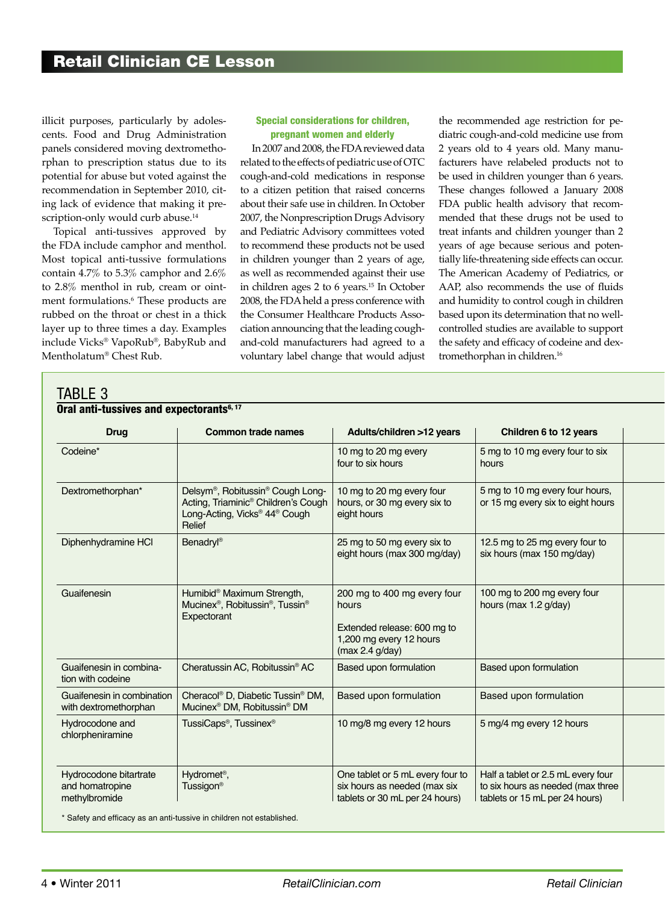illicit purposes, particularly by adolescents. Food and Drug Administration panels considered moving dextromethorphan to prescription status due to its potential for abuse but voted against the recommendation in September 2010, citing lack of evidence that making it prescription-only would curb abuse.<sup>14</sup>

Topical anti-tussives approved by the FDA include camphor and menthol. Most topical anti-tussive formulations contain 4.7% to 5.3% camphor and 2.6% to 2.8% menthol in rub, cream or ointment formulations.6 These products are rubbed on the throat or chest in a thick layer up to three times a day. Examples include Vicks® VapoRub®, BabyRub and Mentholatum® Chest Rub.

TABLE 3

#### Special considerations for children, pregnant women and elderly

In 2007 and 2008, the FDA reviewed data related to the effects of pediatric use of OTC cough-and-cold medications in response to a citizen petition that raised concerns about their safe use in children. In October 2007, the Nonprescription Drugs Advisory and Pediatric Advisory committees voted to recommend these products not be used in children younger than 2 years of age, as well as recommended against their use in children ages 2 to 6 years.15 In October 2008, the FDA held a press conference with the Consumer Healthcare Products Association announcing that the leading coughand-cold manufacturers had agreed to a voluntary label change that would adjust the recommended age restriction for pediatric cough-and-cold medicine use from 2 years old to 4 years old. Many manufacturers have relabeled products not to be used in children younger than 6 years. These changes followed a January 2008 FDA public health advisory that recommended that these drugs not be used to treat infants and children younger than 2 years of age because serious and potentially life-threatening side effects can occur. The American Academy of Pediatrics, or AAP, also recommends the use of fluids and humidity to control cough in children based upon its determination that no wellcontrolled studies are available to support the safety and efficacy of codeine and dextromethorphan in children.<sup>16</sup>

| Oral anti-tussives and expectorants <sup>6, 17</sup>       |                                                                                                                                                                                 |                                                                                                                   |                                                                                                           |  |
|------------------------------------------------------------|---------------------------------------------------------------------------------------------------------------------------------------------------------------------------------|-------------------------------------------------------------------------------------------------------------------|-----------------------------------------------------------------------------------------------------------|--|
| <b>Drug</b>                                                | <b>Common trade names</b>                                                                                                                                                       | Adults/children >12 years                                                                                         | Children 6 to 12 years                                                                                    |  |
| Codeine*                                                   |                                                                                                                                                                                 | 10 mg to 20 mg every<br>four to six hours                                                                         | 5 mg to 10 mg every four to six<br>hours                                                                  |  |
| Dextromethorphan*                                          | Delsym <sup>®</sup> , Robitussin <sup>®</sup> Cough Long-<br>Acting, Triaminic <sup>®</sup> Children's Cough<br>Long-Acting, Vicks <sup>®</sup> 44 <sup>®</sup> Cough<br>Relief | 10 mg to 20 mg every four<br>hours, or 30 mg every six to<br>eight hours                                          | 5 mg to 10 mg every four hours,<br>or 15 mg every six to eight hours                                      |  |
| Diphenhydramine HCI                                        | <b>Benadryl<sup>®</sup></b>                                                                                                                                                     | 25 mg to 50 mg every six to<br>eight hours (max 300 mg/day)                                                       | 12.5 mg to 25 mg every four to<br>six hours (max 150 mg/day)                                              |  |
| Guaifenesin                                                | Humibid® Maximum Strength,<br>Mucinex <sup>®</sup> , Robitussin <sup>®</sup> , Tussin <sup>®</sup><br>Expectorant                                                               | 200 mg to 400 mg every four<br>hours<br>Extended release: 600 mg to<br>1,200 mg every 12 hours<br>(max 2.4 g/day) | 100 mg to 200 mg every four<br>hours (max 1.2 g/day)                                                      |  |
| Guaifenesin in combina-<br>tion with codeine               | Cheratussin AC, Robitussin® AC                                                                                                                                                  | Based upon formulation                                                                                            | <b>Based upon formulation</b>                                                                             |  |
| Guaifenesin in combination<br>with dextromethorphan        | Cheracol® D, Diabetic Tussin® DM<br>Mucinex <sup>®</sup> DM, Robitussin <sup>®</sup> DM                                                                                         | Based upon formulation                                                                                            | Based upon formulation                                                                                    |  |
| Hydrocodone and<br>chlorpheniramine                        | TussiCaps <sup>®</sup> , Tussinex <sup>®</sup>                                                                                                                                  | 10 mg/8 mg every 12 hours                                                                                         | 5 mg/4 mg every 12 hours                                                                                  |  |
| Hydrocodone bitartrate<br>and homatropine<br>methylbromide | Hydromet <sup>®</sup> ,<br>Tussigon <sup>®</sup>                                                                                                                                | One tablet or 5 mL every four to<br>six hours as needed (max six<br>tablets or 30 mL per 24 hours)                | Half a tablet or 2.5 mL every four<br>to six hours as needed (max three<br>tablets or 15 mL per 24 hours) |  |

\* Safety and efficacy as an anti-tussive in children not established.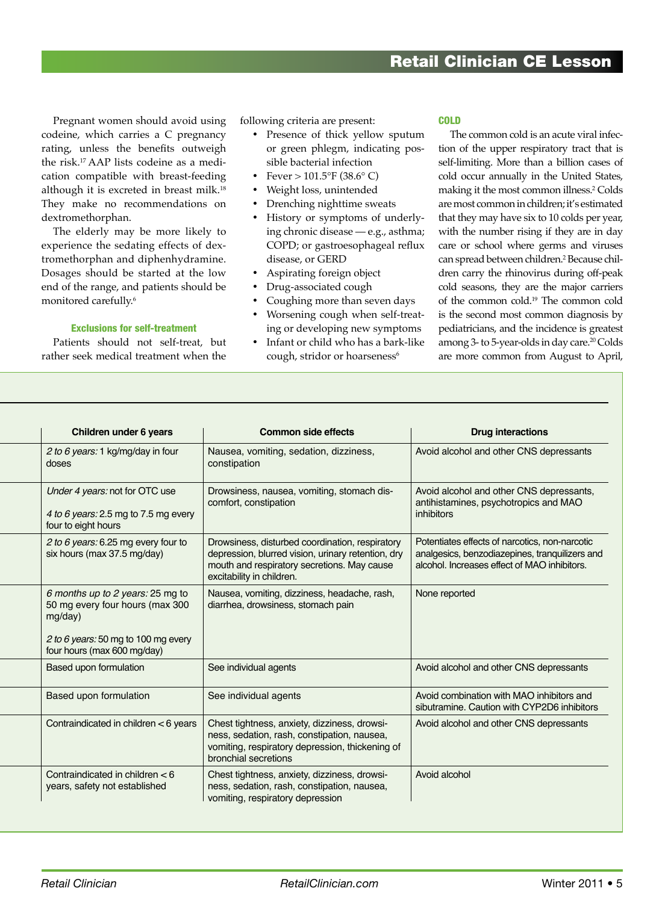## Retail Clinician CE Lesson

Pregnant women should avoid using codeine, which carries a C pregnancy rating, unless the benefits outweigh the risk.17 AAP lists codeine as a medication compatible with breast-feeding although it is excreted in breast milk.18 They make no recommendations on dextromethorphan.

The elderly may be more likely to experience the sedating effects of dextromethorphan and diphenhydramine. Dosages should be started at the low end of the range, and patients should be monitored carefully.6

#### Exclusions for self-treatment

Patients should not self-treat, but rather seek medical treatment when the

following criteria are present:

- Presence of thick yellow sputum or green phlegm, indicating possible bacterial infection
- Fever  $> 101.5$ °F (38.6° C)
- Weight loss, unintended
- Drenching nighttime sweats
- History or symptoms of underlying chronic disease — e.g., asthma; COPD; or gastroesophageal reflux disease, or GERD
- Aspirating foreign object
- Drug-associated cough
- Coughing more than seven days
- • Worsening cough when self-treating or developing new symptoms
- • Infant or child who has a bark-like cough, stridor or hoarseness<sup>6</sup>

#### **COLD**

The common cold is an acute viral infection of the upper respiratory tract that is self-limiting. More than a billion cases of cold occur annually in the United States, making it the most common illness.2 Colds are most common in children; it's estimated that they may have six to 10 colds per year, with the number rising if they are in day care or school where germs and viruses can spread between children.<sup>2</sup> Because children carry the rhinovirus during off-peak cold seasons, they are the major carriers of the common cold.19 The common cold is the second most common diagnosis by pediatricians, and the incidence is greatest among 3- to 5-year-olds in day care.<sup>20</sup> Colds are more common from August to April,

| Children under 6 years                                                                                                                               | <b>Common side effects</b>                                                                                                                                                        | <b>Drug interactions</b>                                                                                                                         |
|------------------------------------------------------------------------------------------------------------------------------------------------------|-----------------------------------------------------------------------------------------------------------------------------------------------------------------------------------|--------------------------------------------------------------------------------------------------------------------------------------------------|
| 2 to 6 years: 1 kg/mg/day in four<br>doses                                                                                                           | Nausea, vomiting, sedation, dizziness,<br>constipation                                                                                                                            | Avoid alcohol and other CNS depressants                                                                                                          |
| Under 4 years: not for OTC use<br>4 to 6 years: 2.5 mg to 7.5 mg every<br>four to eight hours                                                        | Drowsiness, nausea, vomiting, stomach dis-<br>comfort, constipation                                                                                                               | Avoid alcohol and other CNS depressants,<br>antihistamines, psychotropics and MAO<br>inhibitors                                                  |
| 2 to 6 years: 6.25 mg every four to<br>six hours (max 37.5 mg/day)                                                                                   | Drowsiness, disturbed coordination, respiratory<br>depression, blurred vision, urinary retention, dry<br>mouth and respiratory secretions. May cause<br>excitability in children. | Potentiates effects of narcotics, non-narcotic<br>analgesics, benzodiazepines, tranquilizers and<br>alcohol. Increases effect of MAO inhibitors. |
| 6 months up to 2 years: 25 mg to<br>50 mg every four hours (max 300<br>mg/day)<br>2 to 6 years: 50 mg to 100 mg every<br>four hours (max 600 mg/day) | Nausea, vomiting, dizziness, headache, rash,<br>diarrhea, drowsiness, stomach pain                                                                                                | None reported                                                                                                                                    |
| Based upon formulation                                                                                                                               | See individual agents                                                                                                                                                             | Avoid alcohol and other CNS depressants                                                                                                          |
| Based upon formulation                                                                                                                               | See individual agents                                                                                                                                                             | Avoid combination with MAO inhibitors and<br>sibutramine. Caution with CYP2D6 inhibitors                                                         |
| Contraindicated in children < 6 years                                                                                                                | Chest tightness, anxiety, dizziness, drowsi-<br>ness, sedation, rash, constipation, nausea,<br>vomiting, respiratory depression, thickening of<br>bronchial secretions            | Avoid alcohol and other CNS depressants                                                                                                          |
| Contraindicated in children $< 6$<br>years, safety not established                                                                                   | Chest tightness, anxiety, dizziness, drowsi-<br>ness, sedation, rash, constipation, nausea,<br>vomiting, respiratory depression                                                   | Avoid alcohol                                                                                                                                    |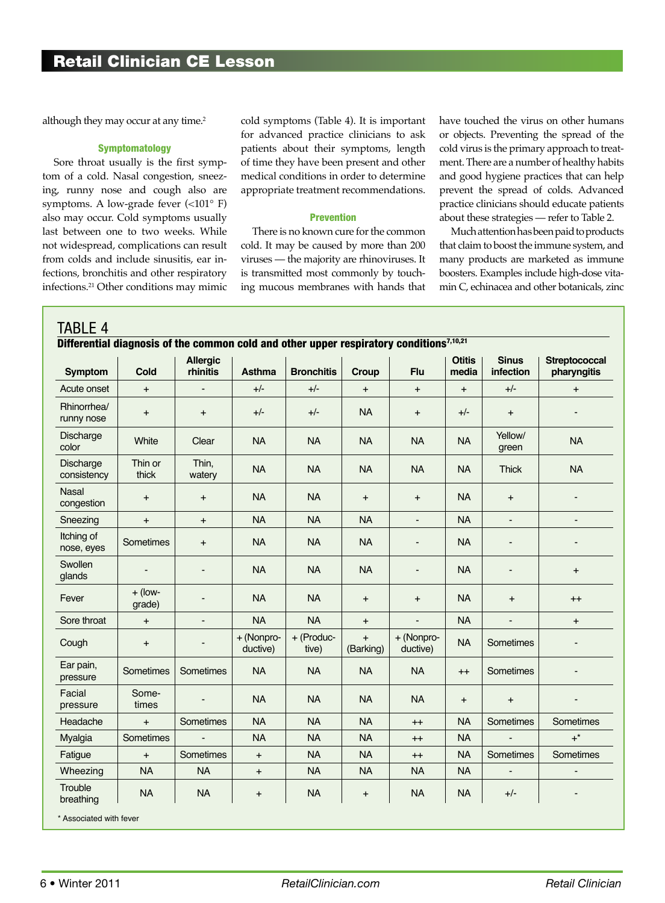although they may occur at any time.<sup>2</sup>

#### **Symptomatology**

Sore throat usually is the first symptom of a cold. Nasal congestion, sneezing, runny nose and cough also are symptoms. A low-grade fever (<101° F) also may occur. Cold symptoms usually last between one to two weeks. While not widespread, complications can result from colds and include sinusitis, ear infections, bronchitis and other respiratory infections.21 Other conditions may mimic cold symptoms (Table 4). It is important for advanced practice clinicians to ask patients about their symptoms, length of time they have been present and other medical conditions in order to determine appropriate treatment recommendations.

#### Prevention

There is no known cure for the common cold. It may be caused by more than 200 viruses — the majority are rhinoviruses. It is transmitted most commonly by touching mucous membranes with hands that

have touched the virus on other humans or objects. Preventing the spread of the cold virus is the primary approach to treatment. There are a number of healthy habits and good hygiene practices that can help prevent the spread of colds. Advanced practice clinicians should educate patients about these strategies — refer to Table 2.

Much attention has been paid to products that claim to boost the immune system, and many products are marketed as immune boosters. Examples include high-dose vitamin C, echinacea and other botanicals, zinc

| <b>Symptom</b>             | Cold                     | <b>Allergic</b><br>rhinitis | <b>Asthma</b>                    | <b>Bronchitis</b>   | Croup                  | <b>Flu</b>               | <b>Otitis</b><br>media | <b>Sinus</b><br>infection    | <b>Streptococcal</b><br>pharyngitis |
|----------------------------|--------------------------|-----------------------------|----------------------------------|---------------------|------------------------|--------------------------|------------------------|------------------------------|-------------------------------------|
| Acute onset                | $+$                      | $\blacksquare$              | $+/-$                            | $+/-$               | $+$                    | $+$                      | $+$                    | $+/-$                        | $\ddot{}$                           |
| Rhinorrhea/<br>runny nose  | $\ddot{}$                | $\pmb{+}$                   | $+/-$                            | $+/-$               | <b>NA</b>              | $\ddot{}$                | $+/-$                  | $\pmb{+}$                    |                                     |
| Discharge<br>color         | White                    | Clear                       | <b>NA</b>                        | <b>NA</b>           | <b>NA</b>              | <b>NA</b>                | <b>NA</b>              | Yellow/<br>green             | <b>NA</b>                           |
| Discharge<br>consistency   | Thin or<br>thick         | Thin,<br>watery             | <b>NA</b>                        | <b>NA</b>           | <b>NA</b>              | <b>NA</b>                | <b>NA</b>              | <b>Thick</b>                 | <b>NA</b>                           |
| <b>Nasal</b><br>congestion | $\ddot{}$                | $\ddot{}$                   | <b>NA</b>                        | <b>NA</b>           | $+$                    | $+$                      | <b>NA</b>              | $\ddot{}$                    |                                     |
| Sneezing                   | $\ddot{}$                | $\ddot{}$                   | <b>NA</b>                        | <b>NA</b>           | <b>NA</b>              | $\overline{\phantom{a}}$ | <b>NA</b>              | $\overline{\phantom{a}}$     | ٠                                   |
| Itching of<br>nose, eyes   | Sometimes                | $\ddot{}$                   | <b>NA</b>                        | <b>NA</b>           | <b>NA</b>              | $\overline{\phantom{0}}$ | <b>NA</b>              | ÷                            |                                     |
| Swollen<br>glands          | $\overline{\phantom{a}}$ | $\overline{a}$              | <b>NA</b>                        | <b>NA</b>           | <b>NA</b>              | $\overline{\phantom{0}}$ | <b>NA</b>              | $\qquad \qquad \blacksquare$ | $\ddot{}$                           |
| Fever                      | $+$ (low-<br>grade)      |                             | <b>NA</b>                        | <b>NA</b>           | $+$                    | $\ddot{}$                | <b>NA</b>              | $\ddot{}$                    | $++$                                |
| Sore throat                | $+$                      | $\overline{\phantom{a}}$    | <b>NA</b>                        | <b>NA</b>           | $\ddot{}$              | $\blacksquare$           | <b>NA</b>              | ÷,                           | $+$                                 |
| Cough                      | $+$                      |                             | + (Nonpro-<br>ductive)           | + (Produc-<br>tive) | $\ddot{}$<br>(Barking) | + (Nonpro-<br>ductive)   | <b>NA</b>              | Sometimes                    |                                     |
| Ear pain,<br>pressure      | Sometimes                | Sometimes                   | <b>NA</b>                        | <b>NA</b>           | <b>NA</b>              | <b>NA</b>                | $++$                   | Sometimes                    |                                     |
| Facial<br>pressure         | Some-<br>times           | $\overline{a}$              | <b>NA</b>                        | <b>NA</b>           | <b>NA</b>              | <b>NA</b>                | $\ddot{}$              | $\ddot{}$                    |                                     |
| Headache                   | $+$                      | Sometimes                   | <b>NA</b>                        | <b>NA</b>           | <b>NA</b>              | $^{++}$                  | <b>NA</b>              | Sometimes                    | Sometimes                           |
| Myalgia                    | Sometimes                | $\overline{a}$              | <b>NA</b>                        | <b>NA</b>           | <b>NA</b>              | $^{++}$                  | <b>NA</b>              |                              | $+^*$                               |
| Fatigue                    | $+$                      | Sometimes                   | $\ddot{}$                        | <b>NA</b>           | <b>NA</b>              | $++$                     | <b>NA</b>              | Sometimes                    | Sometimes                           |
| Wheezing                   | <b>NA</b>                | <b>NA</b>                   | $\begin{array}{c} + \end{array}$ | <b>NA</b>           | <b>NA</b>              | <b>NA</b>                | <b>NA</b>              | $\overline{\phantom{a}}$     | $\frac{1}{2}$                       |
| Trouble<br>breathing       | <b>NA</b>                | <b>NA</b>                   | $\ddot{}$                        | <b>NA</b>           | $\ddot{}$              | <b>NA</b>                | <b>NA</b>              | $+/-$                        |                                     |

\* Associated with fever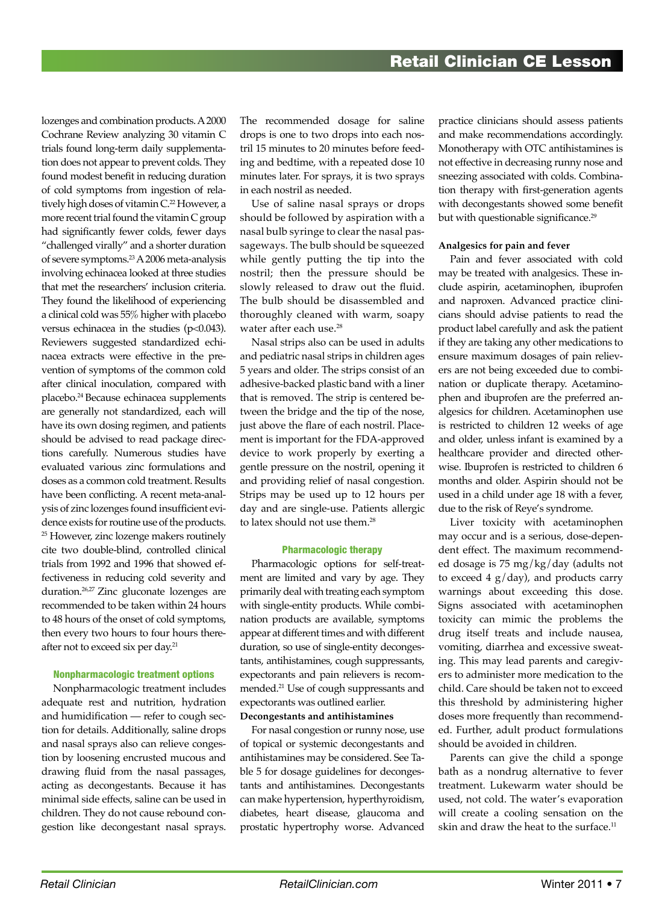lozenges and combination products. A 2000 Cochrane Review analyzing 30 vitamin C trials found long-term daily supplementation does not appear to prevent colds. They found modest benefit in reducing duration of cold symptoms from ingestion of relatively high doses of vitamin C.<sup>22</sup> However, a more recent trial found the vitamin C group had significantly fewer colds, fewer days "challenged virally" and a shorter duration of severe symptoms.23 A 2006 meta-analysis involving echinacea looked at three studies that met the researchers' inclusion criteria. They found the likelihood of experiencing a clinical cold was 55% higher with placebo versus echinacea in the studies (p<0.043). Reviewers suggested standardized echinacea extracts were effective in the prevention of symptoms of the common cold after clinical inoculation, compared with placebo.24 Because echinacea supplements are generally not standardized, each will have its own dosing regimen, and patients should be advised to read package directions carefully. Numerous studies have evaluated various zinc formulations and doses as a common cold treatment. Results have been conflicting. A recent meta-analysis of zinc lozenges found insufficient evidence exists for routine use of the products. <sup>25</sup> However, zinc lozenge makers routinely cite two double-blind, controlled clinical trials from 1992 and 1996 that showed effectiveness in reducing cold severity and duration.26,27 Zinc gluconate lozenges are recommended to be taken within 24 hours to 48 hours of the onset of cold symptoms, then every two hours to four hours thereafter not to exceed six per day.<sup>21</sup>

#### Nonpharmacologic treatment options

Nonpharmacologic treatment includes adequate rest and nutrition, hydration and humidification — refer to cough section for details. Additionally, saline drops and nasal sprays also can relieve congestion by loosening encrusted mucous and drawing fluid from the nasal passages, acting as decongestants. Because it has minimal side effects, saline can be used in children. They do not cause rebound congestion like decongestant nasal sprays.

The recommended dosage for saline drops is one to two drops into each nostril 15 minutes to 20 minutes before feeding and bedtime, with a repeated dose 10 minutes later. For sprays, it is two sprays in each nostril as needed.

Use of saline nasal sprays or drops should be followed by aspiration with a nasal bulb syringe to clear the nasal passageways. The bulb should be squeezed while gently putting the tip into the nostril; then the pressure should be slowly released to draw out the fluid. The bulb should be disassembled and thoroughly cleaned with warm, soapy water after each use.<sup>28</sup>

Nasal strips also can be used in adults and pediatric nasal strips in children ages 5 years and older. The strips consist of an adhesive-backed plastic band with a liner that is removed. The strip is centered between the bridge and the tip of the nose, just above the flare of each nostril. Placement is important for the FDA-approved device to work properly by exerting a gentle pressure on the nostril, opening it and providing relief of nasal congestion. Strips may be used up to 12 hours per day and are single-use. Patients allergic to latex should not use them.<sup>28</sup>

#### Pharmacologic therapy

Pharmacologic options for self-treatment are limited and vary by age. They primarily deal with treating each symptom with single-entity products. While combination products are available, symptoms appear at different times and with different duration, so use of single-entity decongestants, antihistamines, cough suppressants, expectorants and pain relievers is recommended.21 Use of cough suppressants and expectorants was outlined earlier. **Decongestants and antihistamines**

For nasal congestion or runny nose, use of topical or systemic decongestants and antihistamines may be considered. See Table 5 for dosage guidelines for decongestants and antihistamines. Decongestants can make hypertension, hyperthyroidism, diabetes, heart disease, glaucoma and prostatic hypertrophy worse. Advanced

practice clinicians should assess patients and make recommendations accordingly. Monotherapy with OTC antihistamines is not effective in decreasing runny nose and sneezing associated with colds. Combination therapy with first-generation agents with decongestants showed some benefit but with questionable significance.<sup>29</sup>

#### **Analgesics for pain and fever**

Pain and fever associated with cold may be treated with analgesics. These include aspirin, acetaminophen, ibuprofen and naproxen. Advanced practice clinicians should advise patients to read the product label carefully and ask the patient if they are taking any other medications to ensure maximum dosages of pain relievers are not being exceeded due to combination or duplicate therapy. Acetaminophen and ibuprofen are the preferred analgesics for children. Acetaminophen use is restricted to children 12 weeks of age and older, unless infant is examined by a healthcare provider and directed otherwise. Ibuprofen is restricted to children 6 months and older. Aspirin should not be used in a child under age 18 with a fever, due to the risk of Reye's syndrome.

Liver toxicity with acetaminophen may occur and is a serious, dose-dependent effect. The maximum recommended dosage is 75 mg/kg/day (adults not to exceed  $4$  g/day), and products carry warnings about exceeding this dose. Signs associated with acetaminophen toxicity can mimic the problems the drug itself treats and include nausea, vomiting, diarrhea and excessive sweating. This may lead parents and caregivers to administer more medication to the child. Care should be taken not to exceed this threshold by administering higher doses more frequently than recommended. Further, adult product formulations should be avoided in children.

Parents can give the child a sponge bath as a nondrug alternative to fever treatment. Lukewarm water should be used, not cold. The water's evaporation will create a cooling sensation on the skin and draw the heat to the surface.<sup>11</sup>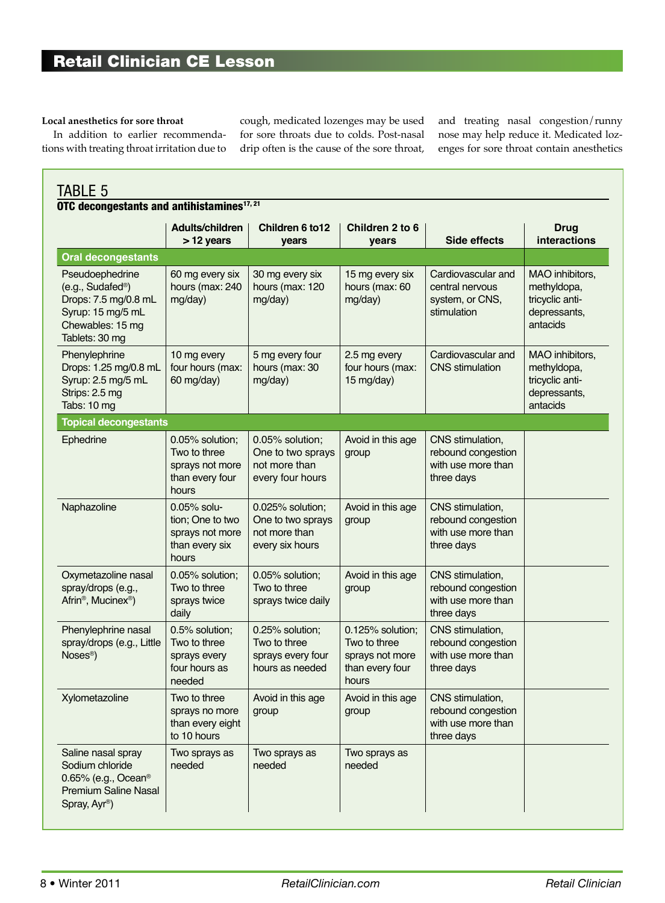#### **Local anesthetics for sore throat**

In addition to earlier recommendations with treating throat irritation due to cough, medicated lozenges may be used for sore throats due to colds. Post-nasal drip often is the cause of the sore throat, and treating nasal congestion/runny nose may help reduce it. Medicated lozenges for sore throat contain anesthetics

| TABLE 5<br>OTC decongestants and antihistamines <sup>17, 21</sup>                                                                    |                                                                                  |                                                                           |                                                                                 |                                                                            |                                                                               |  |  |
|--------------------------------------------------------------------------------------------------------------------------------------|----------------------------------------------------------------------------------|---------------------------------------------------------------------------|---------------------------------------------------------------------------------|----------------------------------------------------------------------------|-------------------------------------------------------------------------------|--|--|
|                                                                                                                                      | Adults/children<br>> 12 years                                                    | Children 6 to 12<br>years                                                 | Children 2 to 6<br>years                                                        | Side effects                                                               | <b>Drug</b><br>interactions                                                   |  |  |
| <b>Oral decongestants</b>                                                                                                            |                                                                                  |                                                                           |                                                                                 |                                                                            |                                                                               |  |  |
| Pseudoephedrine<br>(e.g., Sudafed <sup>®</sup> )<br>Drops: 7.5 mg/0.8 mL<br>Syrup: 15 mg/5 mL<br>Chewables: 15 mg<br>Tablets: 30 mg  | 60 mg every six<br>hours (max: 240<br>mg/day)                                    | 30 mg every six<br>hours (max: 120<br>mg/day)                             | 15 mg every six<br>hours (max: 60<br>mg/day)                                    | Cardiovascular and<br>central nervous<br>system, or CNS,<br>stimulation    | MAO inhibitors,<br>methyldopa,<br>tricyclic anti-<br>depressants,<br>antacids |  |  |
| Phenylephrine<br>Drops: 1.25 mg/0.8 mL<br>Syrup: 2.5 mg/5 mL<br>Strips: 2.5 mg<br>Tabs: 10 mg                                        | 10 mg every<br>four hours (max:<br>60 mg/day)                                    | 5 mg every four<br>hours (max: 30<br>mg/day)                              | 2.5 mg every<br>four hours (max:<br>15 mg/day)                                  | Cardiovascular and<br><b>CNS</b> stimulation                               | MAO inhibitors,<br>methyldopa,<br>tricyclic anti-<br>depressants,<br>antacids |  |  |
| <b>Topical decongestants</b>                                                                                                         |                                                                                  |                                                                           |                                                                                 |                                                                            |                                                                               |  |  |
| Ephedrine                                                                                                                            | 0.05% solution;<br>Two to three<br>sprays not more<br>than every four<br>hours   | 0.05% solution;<br>One to two sprays<br>not more than<br>every four hours | Avoid in this age<br>group                                                      | CNS stimulation,<br>rebound congestion<br>with use more than<br>three days |                                                                               |  |  |
| Naphazoline                                                                                                                          | $0.05\%$ solu-<br>tion; One to two<br>sprays not more<br>than every six<br>hours | 0.025% solution;<br>One to two sprays<br>not more than<br>every six hours | Avoid in this age<br>group                                                      | CNS stimulation,<br>rebound congestion<br>with use more than<br>three days |                                                                               |  |  |
| Oxymetazoline nasal<br>spray/drops (e.g.,<br>Afrin <sup>®</sup> , Mucinex <sup>®</sup> )                                             | 0.05% solution;<br>Two to three<br>sprays twice<br>daily                         | 0.05% solution;<br>Two to three<br>sprays twice daily                     | Avoid in this age<br>group                                                      | CNS stimulation,<br>rebound congestion<br>with use more than<br>three days |                                                                               |  |  |
| Phenylephrine nasal<br>spray/drops (e.g., Little<br>Noses <sup>®</sup> )                                                             | 0.5% solution;<br>Two to three<br>sprays every<br>four hours as<br>needed        | 0.25% solution;<br>Two to three<br>sprays every four<br>hours as needed   | 0.125% solution;<br>Two to three<br>sprays not more<br>than every four<br>hours | CNS stimulation,<br>rebound congestion<br>with use more than<br>three days |                                                                               |  |  |
| Xylometazoline                                                                                                                       | Two to three<br>sprays no more<br>than every eight<br>to 10 hours                | Avoid in this age<br>group                                                | Avoid in this age<br>group                                                      | CNS stimulation,<br>rebound congestion<br>with use more than<br>three days |                                                                               |  |  |
| Saline nasal spray<br>Sodium chloride<br>0.65% (e.g., Ocean <sup>®</sup><br><b>Premium Saline Nasal</b><br>Spray, Ayr <sup>®</sup> ) | Two sprays as<br>needed                                                          | Two sprays as<br>needed                                                   | Two sprays as<br>needed                                                         |                                                                            |                                                                               |  |  |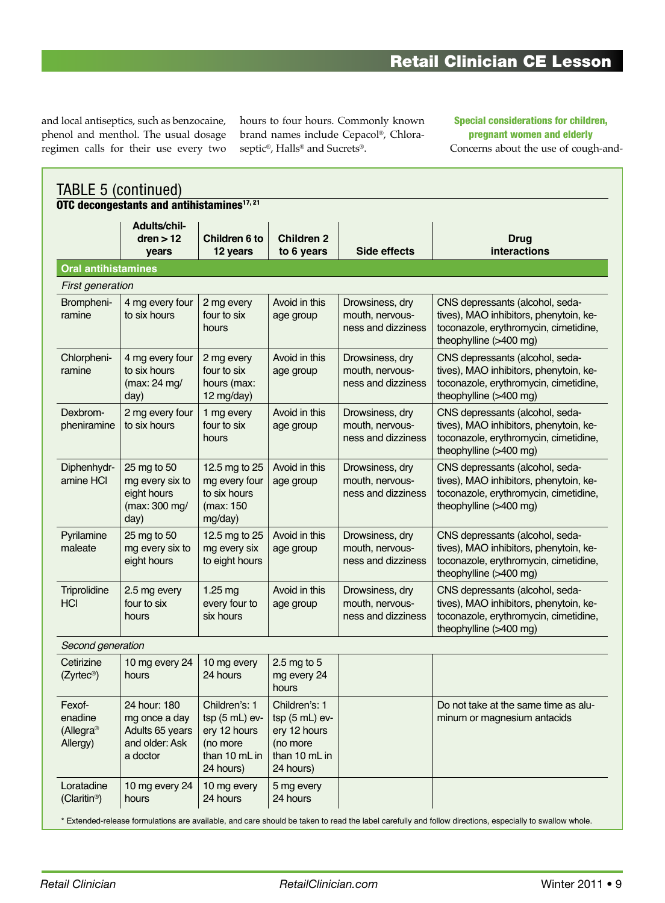# Retail Clinician CE Lesson

and local antiseptics, such as benzocaine, phenol and menthol. The usual dosage regimen calls for their use every two hours to four hours. Commonly known brand names include Cepacol®, Chloraseptic®, Halls® and Sucrets®.

#### Special considerations for children, pregnant women and elderly Concerns about the use of cough-and-

|                                            | Adults/chil-                                                                   |                                                                                            |                                                                                            |                                                          |                                                                                                                                              |
|--------------------------------------------|--------------------------------------------------------------------------------|--------------------------------------------------------------------------------------------|--------------------------------------------------------------------------------------------|----------------------------------------------------------|----------------------------------------------------------------------------------------------------------------------------------------------|
|                                            | dren > 12<br>years                                                             | Children 6 to<br>12 years                                                                  | <b>Children 2</b><br>to 6 years                                                            | Side effects                                             | <b>Drug</b><br>interactions                                                                                                                  |
| <b>Oral antihistamines</b>                 |                                                                                |                                                                                            |                                                                                            |                                                          |                                                                                                                                              |
| First generation                           |                                                                                |                                                                                            |                                                                                            |                                                          |                                                                                                                                              |
| Brompheni-<br>ramine                       | 4 mg every four<br>to six hours                                                | 2 mg every<br>four to six<br>hours                                                         | Avoid in this<br>age group                                                                 | Drowsiness, dry<br>mouth, nervous-<br>ness and dizziness | CNS depressants (alcohol, seda-<br>tives), MAO inhibitors, phenytoin, ke-<br>toconazole, erythromycin, cimetidine,<br>theophylline (>400 mg) |
| Chlorpheni-<br>ramine                      | 4 mg every four<br>to six hours<br>(max: 24 mg/<br>day)                        | 2 mg every<br>four to six<br>hours (max:<br>12 mg/day)                                     | Avoid in this<br>age group                                                                 | Drowsiness, dry<br>mouth, nervous-<br>ness and dizziness | CNS depressants (alcohol, seda-<br>tives), MAO inhibitors, phenytoin, ke-<br>toconazole, erythromycin, cimetidine,<br>theophylline (>400 mg) |
| Dexbrom-<br>pheniramine                    | 2 mg every four<br>to six hours                                                | 1 mg every<br>four to six<br>hours                                                         | Avoid in this<br>age group                                                                 | Drowsiness, dry<br>mouth, nervous-<br>ness and dizziness | CNS depressants (alcohol, seda-<br>tives), MAO inhibitors, phenytoin, ke-<br>toconazole, erythromycin, cimetidine,<br>theophylline (>400 mg) |
| Diphenhydr-<br>amine HCI                   | 25 mg to 50<br>mg every six to<br>eight hours<br>(max: 300 mg/<br>day)         | 12.5 mg to 25<br>mg every four<br>to six hours<br>(max: 150<br>mg/day)                     | Avoid in this<br>age group                                                                 | Drowsiness, dry<br>mouth, nervous-<br>ness and dizziness | CNS depressants (alcohol, seda-<br>tives), MAO inhibitors, phenytoin, ke-<br>toconazole, erythromycin, cimetidine,<br>theophylline (>400 mg) |
| Pyrilamine<br>maleate                      | 25 mg to 50<br>mg every six to<br>eight hours                                  | 12.5 mg to 25<br>mg every six<br>to eight hours                                            | Avoid in this<br>age group                                                                 | Drowsiness, dry<br>mouth, nervous-<br>ness and dizziness | CNS depressants (alcohol, seda-<br>tives), MAO inhibitors, phenytoin, ke-<br>toconazole, erythromycin, cimetidine,<br>theophylline (>400 mg) |
| Triprolidine<br><b>HCI</b>                 | 2.5 mg every<br>four to six<br>hours                                           | 1.25 mg<br>every four to<br>six hours                                                      | Avoid in this<br>age group                                                                 | Drowsiness, dry<br>mouth, nervous-<br>ness and dizziness | CNS depressants (alcohol, seda-<br>tives), MAO inhibitors, phenytoin, ke-<br>toconazole, erythromycin, cimetidine,<br>theophylline (>400 mg) |
| Second generation                          |                                                                                |                                                                                            |                                                                                            |                                                          |                                                                                                                                              |
| Cetirizine<br>(Zyrtec <sup>®</sup> )       | 10 mg every 24<br>hours                                                        | 10 mg every<br>24 hours                                                                    | $2.5$ mg to $5$<br>mg every 24<br>hours                                                    |                                                          |                                                                                                                                              |
| Fexof-<br>enadine<br>(Allegra®<br>Allergy) | 24 hour: 180<br>mg once a day<br>Adults 65 years<br>and older: Ask<br>a doctor | Children's: 1<br>$tsp(5 mL)$ ev-<br>ery 12 hours<br>(no more<br>than 10 mL in<br>24 hours) | Children's: 1<br>$tsp(5 mL)$ ev-<br>ery 12 hours<br>(no more<br>than 10 mL in<br>24 hours) |                                                          | Do not take at the same time as alu-<br>minum or magnesium antacids                                                                          |
| Loratadine<br>(Claritin <sup>®</sup> )     | 10 mg every 24<br>hours                                                        | 10 mg every<br>24 hours                                                                    | 5 mg every<br>24 hours                                                                     |                                                          |                                                                                                                                              |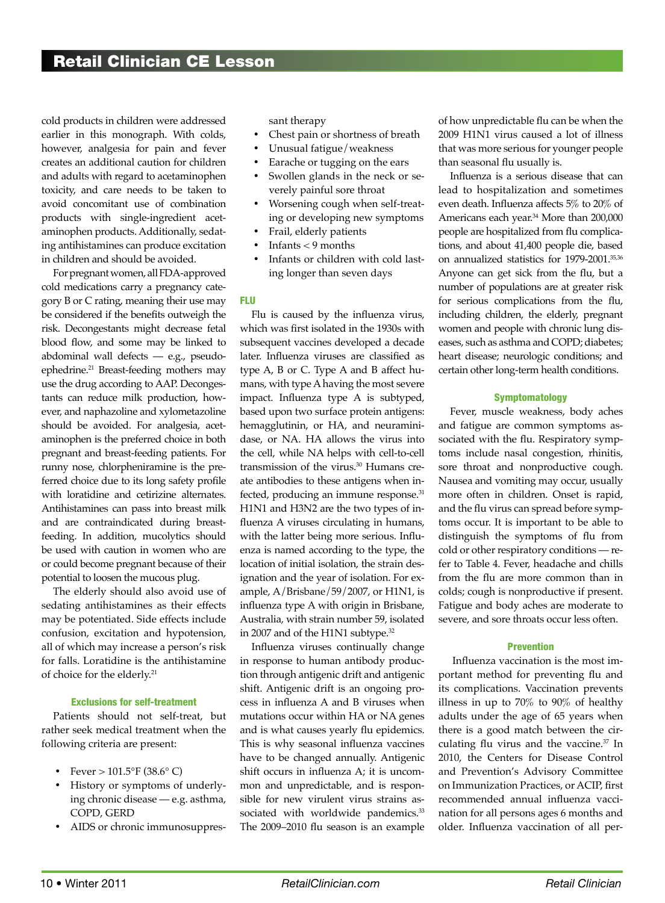cold products in children were addressed earlier in this monograph. With colds, however, analgesia for pain and fever creates an additional caution for children and adults with regard to acetaminophen toxicity, and care needs to be taken to avoid concomitant use of combination products with single-ingredient acetaminophen products. Additionally, sedating antihistamines can produce excitation in children and should be avoided.

For pregnant women, all FDA-approved cold medications carry a pregnancy category B or C rating, meaning their use may be considered if the benefits outweigh the risk. Decongestants might decrease fetal blood flow, and some may be linked to abdominal wall defects — e.g., pseudoephedrine.21 Breast-feeding mothers may use the drug according to AAP. Decongestants can reduce milk production, however, and naphazoline and xylometazoline should be avoided. For analgesia, acetaminophen is the preferred choice in both pregnant and breast-feeding patients. For runny nose, chlorpheniramine is the preferred choice due to its long safety profile with loratidine and cetirizine alternates. Antihistamines can pass into breast milk and are contraindicated during breastfeeding. In addition, mucolytics should be used with caution in women who are or could become pregnant because of their potential to loosen the mucous plug.

The elderly should also avoid use of sedating antihistamines as their effects may be potentiated. Side effects include confusion, excitation and hypotension, all of which may increase a person's risk for falls. Loratidine is the antihistamine of choice for the elderly.21

#### Exclusions for self-treatment

Patients should not self-treat, but rather seek medical treatment when the following criteria are present:

- Fever  $> 101.5$ °F (38.6° C)
- History or symptoms of underlying chronic disease — e.g. asthma, COPD, GERD
- AIDS or chronic immunosuppres-

sant therapy

- Chest pain or shortness of breath
- • Unusual fatigue/weakness
- Earache or tugging on the ears
- Swollen glands in the neck or severely painful sore throat
- Worsening cough when self-treating or developing new symptoms
- Frail, elderly patients
- Infants  $<$  9 months
- Infants or children with cold lasting longer than seven days

#### Flu

Flu is caused by the influenza virus, which was first isolated in the 1930s with subsequent vaccines developed a decade later. Influenza viruses are classified as type A, B or C. Type A and B affect humans, with type A having the most severe impact. Influenza type A is subtyped, based upon two surface protein antigens: hemagglutinin, or HA, and neuraminidase, or NA. HA allows the virus into the cell, while NA helps with cell-to-cell transmission of the virus.30 Humans create antibodies to these antigens when infected, producing an immune response.<sup>31</sup> H1N1 and H3N2 are the two types of influenza A viruses circulating in humans, with the latter being more serious. Influenza is named according to the type, the location of initial isolation, the strain designation and the year of isolation. For example, A/Brisbane/59/2007, or H1N1, is influenza type A with origin in Brisbane, Australia, with strain number 59, isolated in 2007 and of the H1N1 subtype. $32$ 

Influenza viruses continually change in response to human antibody production through antigenic drift and antigenic shift. Antigenic drift is an ongoing process in influenza A and B viruses when mutations occur within HA or NA genes and is what causes yearly flu epidemics. This is why seasonal influenza vaccines have to be changed annually. Antigenic shift occurs in influenza A; it is uncommon and unpredictable, and is responsible for new virulent virus strains associated with worldwide pandemics.<sup>33</sup> The 2009–2010 flu season is an example of how unpredictable flu can be when the 2009 H1N1 virus caused a lot of illness that was more serious for younger people than seasonal flu usually is.

Influenza is a serious disease that can lead to hospitalization and sometimes even death. Influenza affects 5% to 20% of Americans each year.<sup>34</sup> More than 200,000 people are hospitalized from flu complications, and about 41,400 people die, based on annualized statistics for 1979-2001.35,36 Anyone can get sick from the flu, but a number of populations are at greater risk for serious complications from the flu, including children, the elderly, pregnant women and people with chronic lung diseases, such as asthma and COPD; diabetes; heart disease; neurologic conditions; and certain other long-term health conditions.

#### Symptomatology

Fever, muscle weakness, body aches and fatigue are common symptoms associated with the flu. Respiratory symptoms include nasal congestion, rhinitis, sore throat and nonproductive cough. Nausea and vomiting may occur, usually more often in children. Onset is rapid, and the flu virus can spread before symptoms occur. It is important to be able to distinguish the symptoms of flu from cold or other respiratory conditions — refer to Table 4. Fever, headache and chills from the flu are more common than in colds; cough is nonproductive if present. Fatigue and body aches are moderate to severe, and sore throats occur less often.

#### Prevention

Influenza vaccination is the most important method for preventing flu and its complications. Vaccination prevents illness in up to 70% to 90% of healthy adults under the age of 65 years when there is a good match between the circulating flu virus and the vaccine.37 In 2010, the Centers for Disease Control and Prevention's Advisory Committee on Immunization Practices, or ACIP, first recommended annual influenza vaccination for all persons ages 6 months and older. Influenza vaccination of all per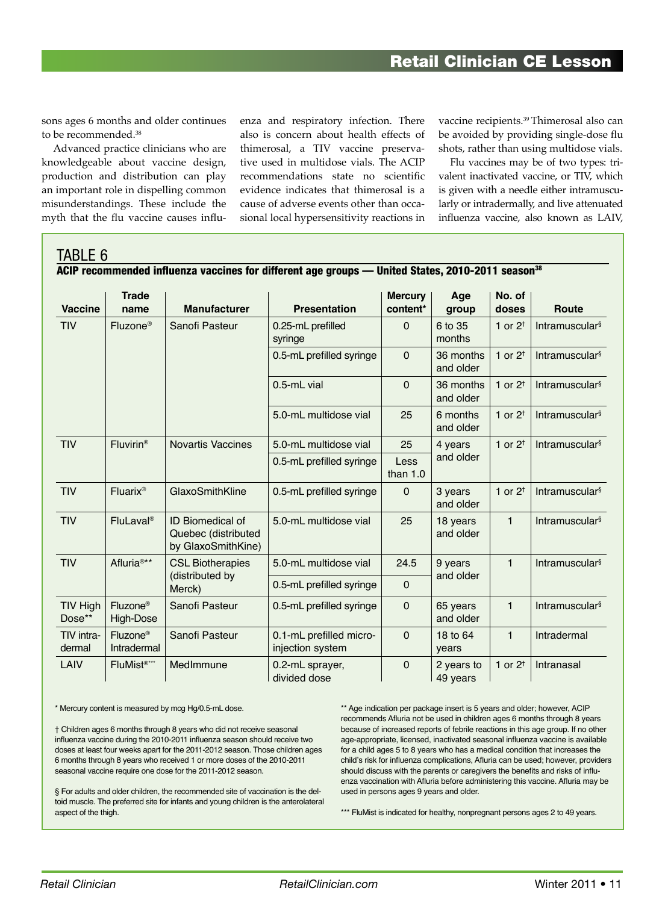sons ages 6 months and older continues to be recommended.38

Advanced practice clinicians who are knowledgeable about vaccine design, production and distribution can play an important role in dispelling common misunderstandings. These include the myth that the flu vaccine causes influenza and respiratory infection. There also is concern about health effects of thimerosal, a TIV vaccine preservative used in multidose vials. The ACIP recommendations state no scientific evidence indicates that thimerosal is a cause of adverse events other than occasional local hypersensitivity reactions in

vaccine recipients.<sup>39</sup> Thimerosal also can be avoided by providing single-dose flu shots, rather than using multidose vials.

Flu vaccines may be of two types: trivalent inactivated vaccine, or TIV, which is given with a needle either intramuscularly or intradermally, and live attenuated influenza vaccine, also known as LAIV,

#### TABLE 6

| ACIP recommended influenza vaccines for different age groups — United States, 2010-2011 season <sup>38</sup> |  |
|--------------------------------------------------------------------------------------------------------------|--|
|                                                                                                              |  |

| <b>Vaccine</b>       | <b>Trade</b><br>name                       | <b>Manufacturer</b>                                                  | <b>Presentation</b>                         | <b>Mercury</b><br>content* | Age<br>group           | No. of<br>doses    | <b>Route</b>                      |
|----------------------|--------------------------------------------|----------------------------------------------------------------------|---------------------------------------------|----------------------------|------------------------|--------------------|-----------------------------------|
| <b>TIV</b>           | Fluzone <sup>®</sup>                       | Sanofi Pasteur                                                       | 0.25-mL prefilled<br>syringe                | 0                          | 6 to 35<br>months      | 1 or $2^+$         | Intramuscular <sup>§</sup>        |
|                      |                                            |                                                                      | 0.5-mL prefilled syringe                    | $\overline{0}$             | 36 months<br>and older | 1 or $2^+$         | Intramuscular <sup>§</sup>        |
|                      |                                            |                                                                      | 0.5-mL vial                                 | 0                          | 36 months<br>and older | 1 or $2^+$         | Intramuscular <sup>§</sup>        |
|                      |                                            |                                                                      | 5.0-mL multidose vial                       | 25                         | 6 months<br>and older  | 1 or $2^+$         | Intramuscular <sup>§</sup>        |
| TIV                  | Fluvirin <sup>®</sup>                      | <b>Novartis Vaccines</b>                                             | 5.0-mL multidose vial                       | 25                         | 4 years                | 1 or $2^{\dagger}$ | Intramuscular <sup>§</sup>        |
|                      |                                            |                                                                      | 0.5-mL prefilled syringe                    | Less<br>than $1.0$         | and older              |                    |                                   |
| <b>TIV</b>           | Fluarix <sup>®</sup>                       | GlaxoSmithKline                                                      | 0.5-mL prefilled syringe                    | 0                          | 3 years<br>and older   | 1 or $2^{\dagger}$ | Intramuscular <sup>§</sup>        |
| TIV                  | <b>FluLaval<sup>®</sup></b>                | <b>ID Biomedical of</b><br>Quebec (distributed<br>by GlaxoSmithKine) | 5.0-mL multidose vial                       | 25                         | 18 years<br>and older  | $\mathbf{1}$       | Intramuscular <sup>§</sup>        |
| TIV                  | Afluria <sup>®**</sup>                     | <b>CSL Biotherapies</b>                                              | 5.0-mL multidose vial                       | 24.5                       | 9 years                | $\mathbf{1}$       | <b>Intramuscular</b> <sup>§</sup> |
|                      |                                            | (distributed by<br>Merck)                                            | 0.5-mL prefilled syringe                    | 0                          | and older              |                    |                                   |
| TIV High<br>Dose**   | Fluzone®<br>High-Dose                      | Sanofi Pasteur                                                       | 0.5-mL prefilled syringe                    | 0                          | 65 years<br>and older  | $\mathbf{1}$       | Intramuscular <sup>§</sup>        |
| TIV intra-<br>dermal | Fluzone <sup>®</sup><br><b>Intradermal</b> | Sanofi Pasteur                                                       | 0.1-mL prefilled micro-<br>injection system | 0                          | 18 to 64<br>years      | $\mathbf{1}$       | Intradermal                       |
| LAIV                 | FluMist <sup>®***</sup>                    | MedImmune                                                            | 0.2-mL sprayer,<br>divided dose             | $\mathbf 0$                | 2 years to<br>49 years | 1 or $2^{\dagger}$ | Intranasal                        |

\* Mercury content is measured by mcg Hg/0.5-mL dose.

† Children ages 6 months through 8 years who did not receive seasonal influenza vaccine during the 2010-2011 influenza season should receive two doses at least four weeks apart for the 2011-2012 season. Those children ages 6 months through 8 years who received 1 or more doses of the 2010-2011 seasonal vaccine require one dose for the 2011-2012 season.

§ For adults and older children, the recommended site of vaccination is the deltoid muscle. The preferred site for infants and young children is the anterolateral aspect of the thigh.

\*\* Age indication per package insert is 5 years and older; however, ACIP recommends Afluria not be used in children ages 6 months through 8 years because of increased reports of febrile reactions in this age group. If no other age-appropriate, licensed, inactivated seasonal influenza vaccine is available for a child ages 5 to 8 years who has a medical condition that increases the child's risk for influenza complications, Afluria can be used; however, providers should discuss with the parents or caregivers the benefits and risks of influenza vaccination with Afluria before administering this vaccine. Afluria may be used in persons ages 9 years and older.

\*\*\* FluMist is indicated for healthy, nonpregnant persons ages 2 to 49 years.

*Retail Clinician RetailClinician.com* Winter 2011 • 11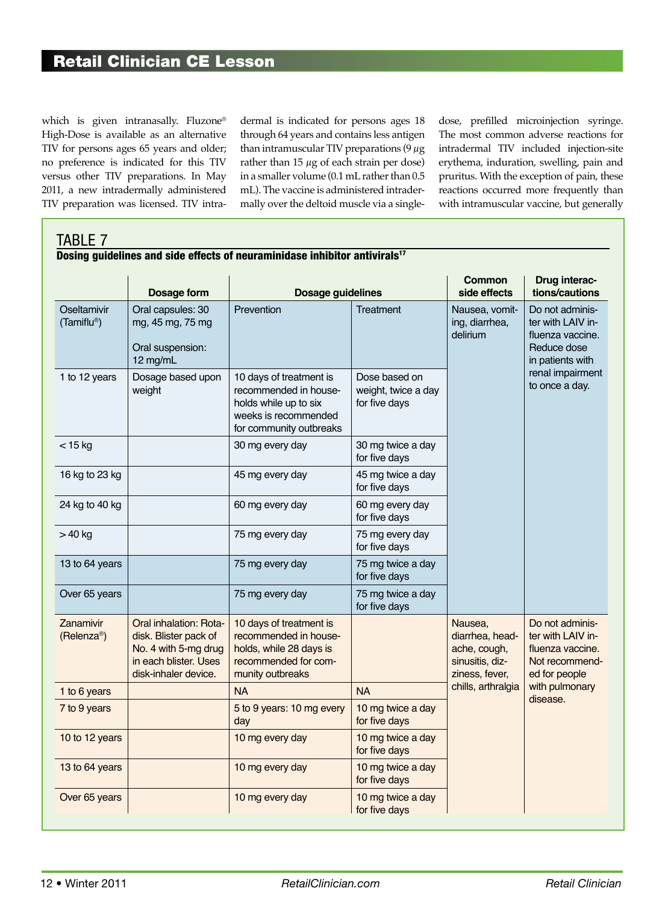which is given intranasally. Fluzone® High-Dose is available as an alternative TIV for persons ages 65 years and older; no preference is indicated for this TIV versus other TIV preparations. In May 2011, a new intradermally administered TIV preparation was licensed. TIV intradermal is indicated for persons ages 18 through 64 years and contains less antigen than intramuscular TIV preparations  $(9 \mu g)$ rather than  $15 \mu$ g of each strain per dose) in a smaller volume (0.1 mL rather than 0.5 mL). The vaccine is administered intradermally over the deltoid muscle via a singledose, prefilled microinjection syringe. The most common adverse reactions for intradermal TIV included injection-site erythema, induration, swelling, pain and pruritus. With the exception of pain, these reactions occurred more frequently than with intramuscular vaccine, but generally

#### TABLE 7 Dosing guidelines and side effects of neuraminidase inhibitor antivirals<sup>17</sup>

|                                      |                                                                                                                          |                                                                                                                              |                                                       | Common                                                                          | Drug interac-                                                                               |
|--------------------------------------|--------------------------------------------------------------------------------------------------------------------------|------------------------------------------------------------------------------------------------------------------------------|-------------------------------------------------------|---------------------------------------------------------------------------------|---------------------------------------------------------------------------------------------|
|                                      | Dosage form                                                                                                              | <b>Dosage guidelines</b>                                                                                                     |                                                       | side effects                                                                    | tions/cautions                                                                              |
| Oseltamivir<br>(Tamiflu®)            | Oral capsules: 30<br>mg, 45 mg, 75 mg<br>Oral suspension:<br>12 mg/mL                                                    | Prevention                                                                                                                   | Treatment                                             | Nausea, vomit-<br>ing, diarrhea,<br>delirium                                    | Do not adminis-<br>ter with LAIV in-<br>fluenza vaccine.<br>Reduce dose<br>in patients with |
| 1 to 12 years                        | Dosage based upon<br>weight                                                                                              | 10 days of treatment is<br>recommended in house-<br>holds while up to six<br>weeks is recommended<br>for community outbreaks | Dose based on<br>weight, twice a day<br>for five days |                                                                                 | renal impairment<br>to once a day.                                                          |
| $<$ 15 kg                            |                                                                                                                          | 30 mg every day                                                                                                              | 30 mg twice a day<br>for five days                    |                                                                                 |                                                                                             |
| 16 kg to 23 kg                       |                                                                                                                          | 45 mg every day                                                                                                              | 45 mg twice a day<br>for five days                    |                                                                                 |                                                                                             |
| 24 kg to 40 kg                       |                                                                                                                          | 60 mg every day                                                                                                              | 60 mg every day<br>for five days                      |                                                                                 |                                                                                             |
| $>40$ kg                             |                                                                                                                          | 75 mg every day                                                                                                              | 75 mg every day<br>for five days                      |                                                                                 |                                                                                             |
| 13 to 64 years                       |                                                                                                                          | 75 mg every day                                                                                                              | 75 mg twice a day<br>for five days                    |                                                                                 |                                                                                             |
| Over 65 years                        |                                                                                                                          | 75 mg every day                                                                                                              | 75 mg twice a day<br>for five days                    |                                                                                 |                                                                                             |
| Zanamivir<br>(Relenza <sup>®</sup> ) | Oral inhalation: Rota-<br>disk. Blister pack of<br>No. 4 with 5-mg drug<br>in each blister. Uses<br>disk-inhaler device. | 10 days of treatment is<br>recommended in house-<br>holds, while 28 days is<br>recommended for com-<br>munity outbreaks      |                                                       | Nausea,<br>diarrhea, head-<br>ache, cough,<br>sinusitis, diz-<br>ziness, fever, | Do not adminis-<br>ter with LAIV in-<br>fluenza vaccine.<br>Not recommend-<br>ed for people |
| 1 to 6 years                         |                                                                                                                          | <b>NA</b>                                                                                                                    | <b>NA</b>                                             | chills, arthralgia                                                              | with pulmonary<br>disease.                                                                  |
| 7 to 9 years                         |                                                                                                                          | 5 to 9 years: 10 mg every<br>day                                                                                             | 10 mg twice a day<br>for five days                    |                                                                                 |                                                                                             |
| 10 to 12 years                       |                                                                                                                          | 10 mg every day                                                                                                              | 10 mg twice a day<br>for five days                    |                                                                                 |                                                                                             |
| 13 to 64 years                       |                                                                                                                          | 10 mg every day                                                                                                              | 10 mg twice a day<br>for five days                    |                                                                                 |                                                                                             |
| Over 65 years                        |                                                                                                                          | 10 mg every day                                                                                                              | 10 mg twice a day<br>for five days                    |                                                                                 |                                                                                             |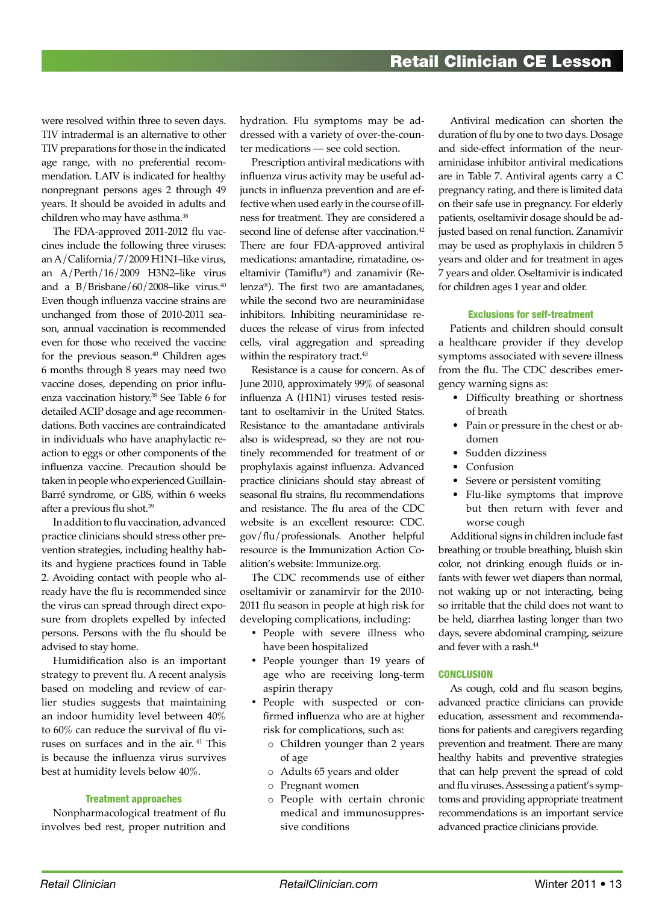were resolved within three to seven days. TIV intradermal is an alternative to other TIV preparations for those in the indicated age range, with no preferential recommendation. LAIV is indicated for healthy nonpregnant persons ages 2 through 49 years. It should be avoided in adults and children who may have asthma.<sup>38</sup>

The FDA-approved 2011-2012 flu vaccines include the following three viruses: an A/California/7/2009 H1N1–like virus, an A/Perth/16/2009 H3N2–like virus and a B/Brisbane/60/2008–like virus. $40$ Even though influenza vaccine strains are unchanged from those of 2010-2011 season, annual vaccination is recommended even for those who received the vaccine for the previous season.<sup>40</sup> Children ages 6 months through 8 years may need two vaccine doses, depending on prior influenza vaccination history.38 See Table 6 for detailed ACIP dosage and age recommendations. Both vaccines are contraindicated in individuals who have anaphylactic reaction to eggs or other components of the influenza vaccine. Precaution should be taken in people who experienced Guillain-Barré syndrome, or GBS, within 6 weeks after a previous flu shot.39

In addition to flu vaccination, advanced practice clinicians should stress other prevention strategies, including healthy habits and hygiene practices found in Table 2. Avoiding contact with people who already have the flu is recommended since the virus can spread through direct exposure from droplets expelled by infected persons. Persons with the flu should be advised to stay home.

Humidification also is an important strategy to prevent flu. A recent analysis based on modeling and review of earlier studies suggests that maintaining an indoor humidity level between 40% to 60% can reduce the survival of flu viruses on surfaces and in the air. 41 This is because the influenza virus survives best at humidity levels below 40%.

#### Treatment approaches

Nonpharmacological treatment of flu involves bed rest, proper nutrition and

hydration. Flu symptoms may be addressed with a variety of over-the-counter medications — see cold section.

Prescription antiviral medications with influenza virus activity may be useful adjuncts in influenza prevention and are effective when used early in the course of illness for treatment. They are considered a second line of defense after vaccination.<sup>42</sup> There are four FDA-approved antiviral medications: amantadine, rimatadine, oseltamivir (Tamiflu®) and zanamivir (Relenza®). The first two are amantadanes, while the second two are neuraminidase inhibitors. Inhibiting neuraminidase reduces the release of virus from infected cells, viral aggregation and spreading within the respiratory tract.<sup>43</sup>

Resistance is a cause for concern. As of June 2010, approximately 99% of seasonal influenza A (H1N1) viruses tested resistant to oseltamivir in the United States. Resistance to the amantadane antivirals also is widespread, so they are not routinely recommended for treatment of or prophylaxis against influenza. Advanced practice clinicians should stay abreast of seasonal flu strains, flu recommendations and resistance. The flu area of the CDC website is an excellent resource: CDC. gov/flu/professionals. Another helpful resource is the Immunization Action Coalition's website: Immunize.org.

The CDC recommends use of either oseltamivir or zanamirvir for the 2010- 2011 flu season in people at high risk for developing complications, including:

- • People with severe illness who have been hospitalized
- People younger than 19 years of age who are receiving long-term aspirin therapy
- • People with suspected or confirmed influenza who are at higher risk for complications, such as:
	- o Children younger than 2 years of age
	- o Adults 65 years and older
	- o Pregnant women
	- o People with certain chronic medical and immunosuppressive conditions

Antiviral medication can shorten the duration of flu by one to two days. Dosage and side-effect information of the neuraminidase inhibitor antiviral medications are in Table 7. Antiviral agents carry a C pregnancy rating, and there is limited data on their safe use in pregnancy. For elderly patients, oseltamivir dosage should be adjusted based on renal function. Zanamivir may be used as prophylaxis in children 5 years and older and for treatment in ages 7 years and older. Oseltamivir is indicated for children ages 1 year and older.

#### Exclusions for self-treatment

Patients and children should consult a healthcare provider if they develop symptoms associated with severe illness from the flu. The CDC describes emergency warning signs as:

- Difficulty breathing or shortness of breath
- Pain or pressure in the chest or abdomen
- Sudden dizziness
- Confusion
- Severe or persistent vomiting
- Flu-like symptoms that improve but then return with fever and worse cough

Additional signs in children include fast breathing or trouble breathing, bluish skin color, not drinking enough fluids or infants with fewer wet diapers than normal, not waking up or not interacting, being so irritable that the child does not want to be held, diarrhea lasting longer than two days, severe abdominal cramping, seizure and fever with a rash.<sup>44</sup>

#### **CONCLUSION**

As cough, cold and flu season begins, advanced practice clinicians can provide education, assessment and recommendations for patients and caregivers regarding prevention and treatment. There are many healthy habits and preventive strategies that can help prevent the spread of cold and flu viruses. Assessing a patient's symptoms and providing appropriate treatment recommendations is an important service advanced practice clinicians provide.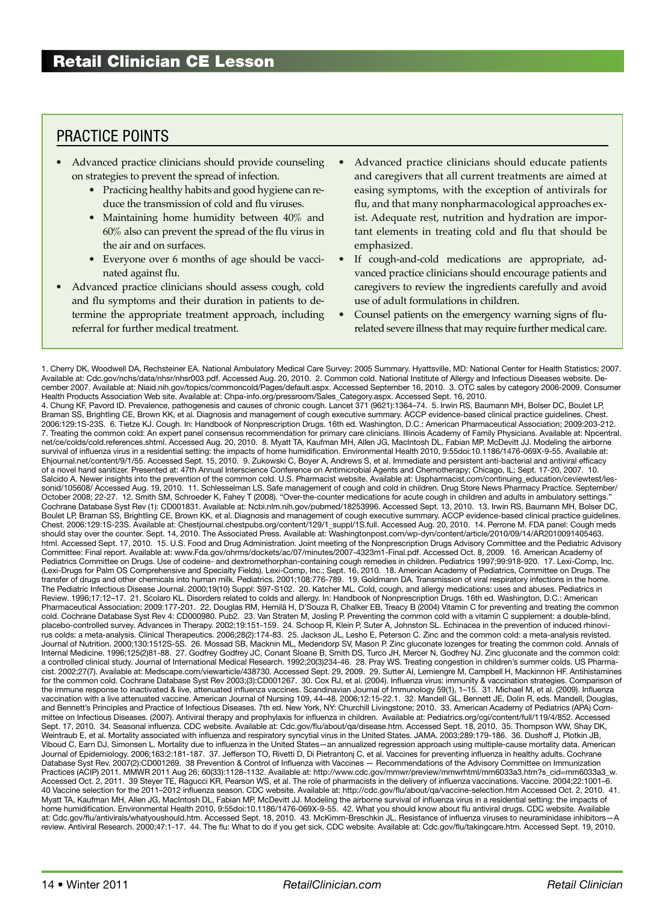## Practice points

- Advanced practice clinicians should provide counseling on strategies to prevent the spread of infection.
	- Practicing healthy habits and good hygiene can reduce the transmission of cold and flu viruses.
	- Maintaining home humidity between  $40\%$  and 60% also can prevent the spread of the flu virus in the air and on surfaces.
	- Everyone over 6 months of age should be vaccinated against flu.
- Advanced practice clinicians should assess cough, cold and flu symptoms and their duration in patients to determine the appropriate treatment approach, including referral for further medical treatment.
- Advanced practice clinicians should educate patients and caregivers that all current treatments are aimed at easing symptoms, with the exception of antivirals for flu, and that many nonpharmacological approaches exist. Adequate rest, nutrition and hydration are important elements in treating cold and flu that should be emphasized.
- If cough-and-cold medications are appropriate, advanced practice clinicians should encourage patients and caregivers to review the ingredients carefully and avoid use of adult formulations in children.
- Counsel patients on the emergency warning signs of flurelated severe illness that may require further medical care.

1. Cherry DK, Woodwell DA, Rechsteiner EA. National Ambulatory Medical Care Survey: 2005 Summary. Hyattsville, MD: National Center for Health Statistics; 2007. Available at: Cdc.gov/nchs/data/nhsr/nhsr003.pdf. Accessed Aug. 20, 2010. 2. Common cold. National Institute of Allergy and Infectious Diseases website. December 2007. Available at: Niaid.nih.gov/topics/commoncold/Pages/default.aspx. Accessed September 16, 2010. 3. OTC sales by category 2006-2009. Consumer Health Products Association Web site. Available at: Chpa-info.org/pressroom/Sales\_Category.aspx. Accessed Sept. 16, 2010. 4. Chung KF, Pavord ID. Prevalence, pathogenesis and causes of chronic cough. Lancet 371 (9621):1364–74. 5. Irwin RS, Baumann MH, Bolser DC, Boulet LP, Braman SS, Brightling CE, Brown KK, et al. Diagnosis and management of cough executive summary. ACCP evidence-based clinical practice guidelines. Chest. 2006:129:1S-23S. 6. Tietze KJ. Cough. In: Handbook of Nonprescription Drugs. 16th ed. Washington, D.C.: American Pharmaceutical Association; 2009:203-212. 7. Treating the common cold: An expert panel consensus recommendation for primary care clinicians. Illinois Academy of Family Physicians. Available at: Npcentral. net/ce/colds/cold.references.shtml. Accessed Aug. 20, 2010. 8. Myatt TA, Kaufman MH, Allen JG, MacIntosh DL, Fabian MP, McDevitt JJ. Modeling the airborne survival of influenza virus in a residential setting: the impacts of home humidification. Environmental Health 2010, 9:55doi:10.1186/1476-069X-9-55. Available at: Ehjournal.net/content/9/1/55. Accessed Sept. 15, 2010. 9. Zukowski C, Boyer A, Andrews S, et al. Immediate and persistent anti-bacterial and antiviral efficacy of a novel hand sanitizer. Presented at: 47th Annual Interscience Conference on Antimicrobial Agents and Chemotherapy; Chicago, IL; Sept. 17-20, 2007. 10. Salcido A. Newer insights into the prevention of the common cold. U.S. Pharmacist website. Available at: Uspharmacist.com/continuing\_education/ceviewtest/lessonid/105608/ Accessed Aug. 19, 2010. 11. Schlesselman LS. Safe management of cough and cold in children. Drug Store News Pharmacy Practice. September/ October 2008; 22-27. 12. Smith SM, Schroeder K, Fahey T (2008). "Over-the-counter medications for acute cough in children and adults in ambulatory settings." Cochrane Database Syst Rev (1): CD001831. Available at: Ncbi.nlm.nih.gov/pubmed/18253996. Accessed Sept. 13, 2010. 13. Irwin RS, Baumann MH, Bolser DC, Boulet LP, Braman SS, Brightling CE, Brown KK, et al. Diagnosis and management of cough executive summary. ACCP evidence-based clinical practice guidelines. Chest. 2006:129:1S-23S. Available at: Chestjournal.chestpubs.org/content/129/1\_suppl/1S.full. Accessed Aug. 20, 2010. 14. Perrone M. FDA panel: Cough meds should stay over the counter. Sept. 14, 2010. The Associated Press. Available at: Washingtonpost.com/wp-dyn/content/article/2010/09/14/AR2010091405463. html. Accessed Sept. 17, 2010. 15. U.S. Food and Drug Administration. Joint meeting of the Nonprescription Drugs Advisory Committee and the Pediatric Advisory Committee: Final report. Available at: www.Fda.gov/ohrms/dockets/ac/07/minutes/2007-4323m1-Final.pdf. Accessed Oct. 8, 2009. 16. American Academy of Pediatrics Committee on Drugs. Use of codeine- and dextromethorphan-containing cough remedies in children. Pediatrics 1997;99:918-920. 17. Lexi-Comp, Inc. (Lexi-Drugs for Palm OS Comprehensive and Specialty Fields). Lexi-Comp, Inc.; Sept. 16, 2010. 18. American Academy of Pediatrics, Committee on Drugs. The transfer of drugs and other chemicals into human milk. Pediatrics. 2001;108:776-789. 19. Goldmann DA. Transmission of viral respiratory infections in the home. The Pediatric Infectious Disease Journal. 2000;19(10) Suppl: S97-S102. 20. Katcher ML. Cold, cough, and allergy medications: uses and abuses. Pediatrics in Review. 1996;17:12–17. 21. Scolaro KL. Disorders related to colds and allergy. In: Handbook of Nonprescription Drugs. 16th ed. Washington, D.C.: American Pharmaceutical Association; 2009:177-201. 22. Douglas RM, Hemilä H, D'Souza R, Chalker EB, Treacy B (2004) Vitamin C for preventing and treating the common cold. Cochrane Database Syst Rev 4: CD000980. Pub2. 23. Van Straten M, Josling P. Preventing the common cold with a vitamin C supplement: a double-blind, placebo-controlled survey. Advances in Therapy. 2002;19:151-159. 24. Schoop R, Klein P, Suter A, Johnston SL. Echinacea in the prevention of induced rhinovirus colds: a meta-analysis. Clinical Therapeutics. 2006;28(2):174-83. 25. Jackson JL, Lesho E, Peterson C. Zinc and the common cold: a meta-analysis revisted. Journal of Nutrition. 2000;130:1512S-5S. 26. Mossad SB, Macknin ML, Medendorp SV, Mason P. Zinc gluconate lozenges for treating the common cold. Annals of Internal Medicine. 1996;125(2)81-88. 27. Godfrey Godfrey JC, Conant Sloane B, Smith DS, Turco JH, Mercer N, Godfrey NJ. Zinc gluconate and the common cold: a controlled clinical study. Journal of International Medical Research. 1992;20(3)234-46. 28. Pray WS. Treating congestion in children's summer colds. US Pharmacist. 2002;27(7). Available at: Medscape.com/viewarticle/438730. Accessed Sept. 29, 2009. 29. Sutter AI, Lemiengre M, Campbell H, Mackinnon HF. Antihistamines for the common cold. Cochrane Database Syst Rev 2003;(3):CD001267. 30. Cox RJ, et al. (2004). Influenza virus: immunity & vaccination strategies. Comparison of the immune response to inactivated & live, attenuated influenza vaccines. Scandinavian Journal of Immunology 59(1), 1–15. 31. Michael M, et al. (2009). Influenza vaccination with a live attenuated vaccine. American Journal of Nursing 109, 44–48. 2006;12:15-22.1. 32. Mandell GL, Bennett JE, Dolin R, eds. Mandell, Douglas, and Bennett's Principles and Practice of Infectious Diseases. 7th ed. New York, NY: Churchill Livingstone; 2010. 33. American Academy of Pediatrics (APA) Committee on Infectious Diseases. (2007). Antiviral therapy and prophylaxis for influenza in children. Available at: Pediatrics.org/cgi/content/full/119/4/852. Accessed<br>Sept. 17, 2010. 34. Seasonal influenza. CDC website. A Weintraub E, et al. Mortality associated with influenza and respiratory syncytial virus in the United States. JAMA. 2003;289:179-186. 36. Dushoff J, Plotkin JB, Viboud C, Earn DJ, Simonsen L. Mortality due to influenza in the United States—an annualized regression approach using multiple-cause mortality data. American Journal of Epidemiology. 2006;163:2:181-187. 37. Jefferson TO, Rivetti D, Di Pietrantonj C, et al. Vaccines for preventing influenza in healthy adults. Cochrane Database Syst Rev. 2007(2):CD001269. 38 Prevention & Control of Influenza with Vaccines — Recommendations of the Advisory Committee on Immunization Practices (ACIP) 2011. MMWR 2011 Aug 26; 60(33):1128-1132. Available at: http://www.cdc.gov/mmwr/preview/mmwrhtml/mm6033a3.htm?s\_cid=mm6033a3\_w. Accessed Oct. 2, 2011. 39 Steyer TE, Ragucci KR, Pearson WS, et al. The role of pharmacists in the delivery of influenza vaccinations. Vaccine. 2004;22:1001–6. 40 Vaccine selection for the 2011–2012 influenza season. CDC website. Available at: http://cdc.gov/flu/about/qa/vaccine-selection.htm Accessed Oct. 2, 2010. 41. Myatt TA, Kaufman MH, Allen JG, MacIntosh DL, Fabian MP, McDevitt JJ. Modeling the airborne survival of influenza virus in a residential setting: the impacts of home humidification. Environmental Health 2010, 9:55doi:10.1186/1476-069X-9-55. 42. What you should know about flu antiviral drugs. CDC website. Available at: Cdc.gov/flu/antivirals/whatyoushould.htm. Accessed Sept. 18, 2010. 43. McKimm-Breschkin JL. Resistance of influenza viruses to neuraminidase inhibitors—A review. Antiviral Research. 2000;47:1-17. 44. The flu: What to do if you get sick. CDC website. Available at: Cdc.gov/flu/takingcare.htm. Accessed Sept. 19, 2010.